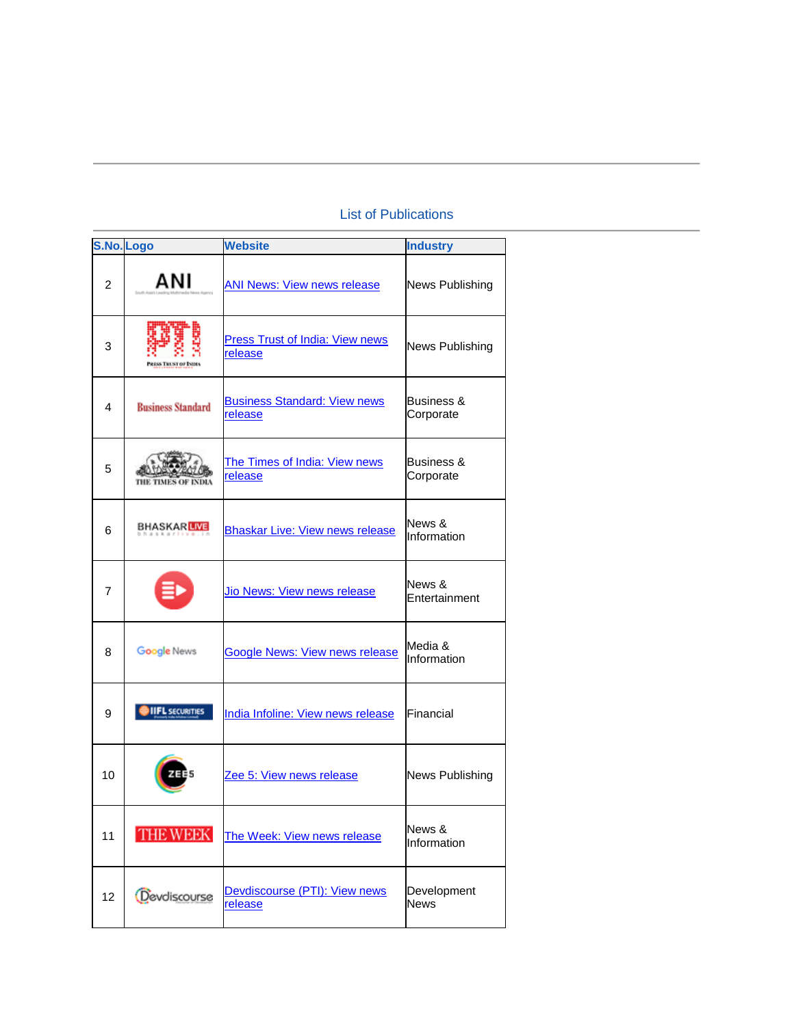## List of Publications

|                | S.No. Logo               | <b>Website</b>                                    | <b>Industry</b>            |
|----------------|--------------------------|---------------------------------------------------|----------------------------|
| $\overline{2}$ | ANI                      | <b>ANI News: View news release</b>                | News Publishing            |
| 3              |                          | <b>Press Trust of India: View news</b><br>release | <b>News Publishing</b>     |
| 4              | <b>Business Standard</b> | <b>Business Standard: View news</b><br>release    | Business &<br>Corporate    |
| 5              |                          | The Times of India: View news<br>release          | Business &<br>Corporate    |
| 6              | <b>BHASKARLIVE</b>       | <b>Bhaskar Live: View news release</b>            | News &<br>Information      |
| 7              |                          | Jio News: View news release                       | News &<br>Entertainment    |
| 8              | Google News              | <b>Google News: View news release</b>             | Media &<br>Information     |
| 9              | <b>IIFL SECURITIES</b>   | India Infoline: View news release                 | Financial                  |
| 10             |                          | Zee 5: View news release                          | <b>News Publishing</b>     |
| 11             | <b>THE WEEK</b>          | The Week: View news release                       | News &<br>Information      |
| 12             | Devdiscourse             | Devdiscourse (PTI): View news<br>release          | Development<br><b>News</b> |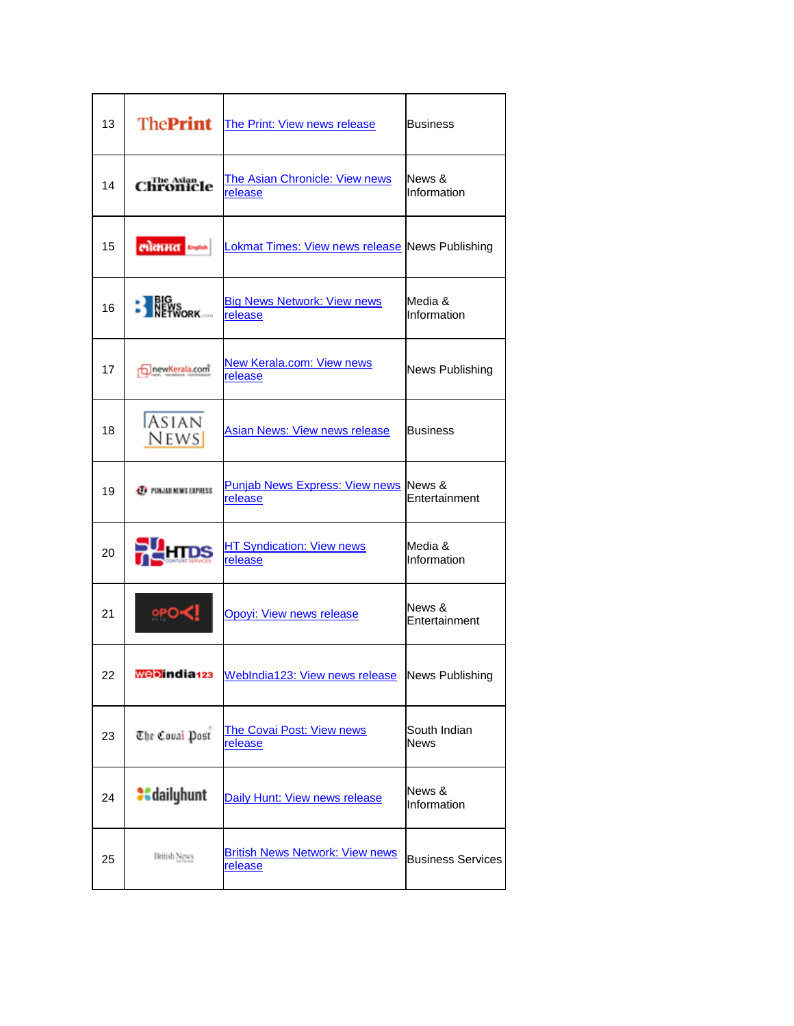| 13 | <b>ThePrint</b>                 | The Print: View news release                                       | Business                    |
|----|---------------------------------|--------------------------------------------------------------------|-----------------------------|
| 14 | The Asian<br><b>hronicle</b>    | The Asian Chronicle: View news<br>release                          | News &<br>Information       |
| 15 | लोकामत जन्म                     | Lokmat Times: View news release News Publishing                    |                             |
| 16 | <b>EXERC</b><br><b>EXERCISC</b> | <b>Big News Network: View news</b><br>release                      | Media &<br>Information      |
| 17 | newKerala.com                   | New Kerala.com: View news<br>release                               | News Publishing             |
| 18 | <b>ASIAN</b><br><b>NEWS</b>     | <b>Asian News: View news release</b>                               | Business                    |
| 19 | <b>ET PUNJAB NEWS EXPRESS</b>   | <b>Punjab News Express: View news News &amp;</b><br><u>release</u> | Entertainment               |
| 20 |                                 | <b>HT Syndication: View news</b><br><u>release</u>                 | Media &<br>Information      |
| 21 | ∘PO≺!                           | <b>Opoyi: View news release</b>                                    | News &<br>Entertainment     |
| 22 | webindia <sub>123</sub>         | WebIndia123: View news release News Publishing                     |                             |
| 23 | The Coual Post                  | <b>The Covai Post: View news</b><br><u>release</u>                 | South Indian<br><b>News</b> |
| 24 | <b>a</b> daily hunt             | Daily Hunt: View news release                                      | News &<br>Information       |
| 25 | <b>British News</b>             | <b>British News Network: View news</b><br><b>release</b>           | <b>Business Services</b>    |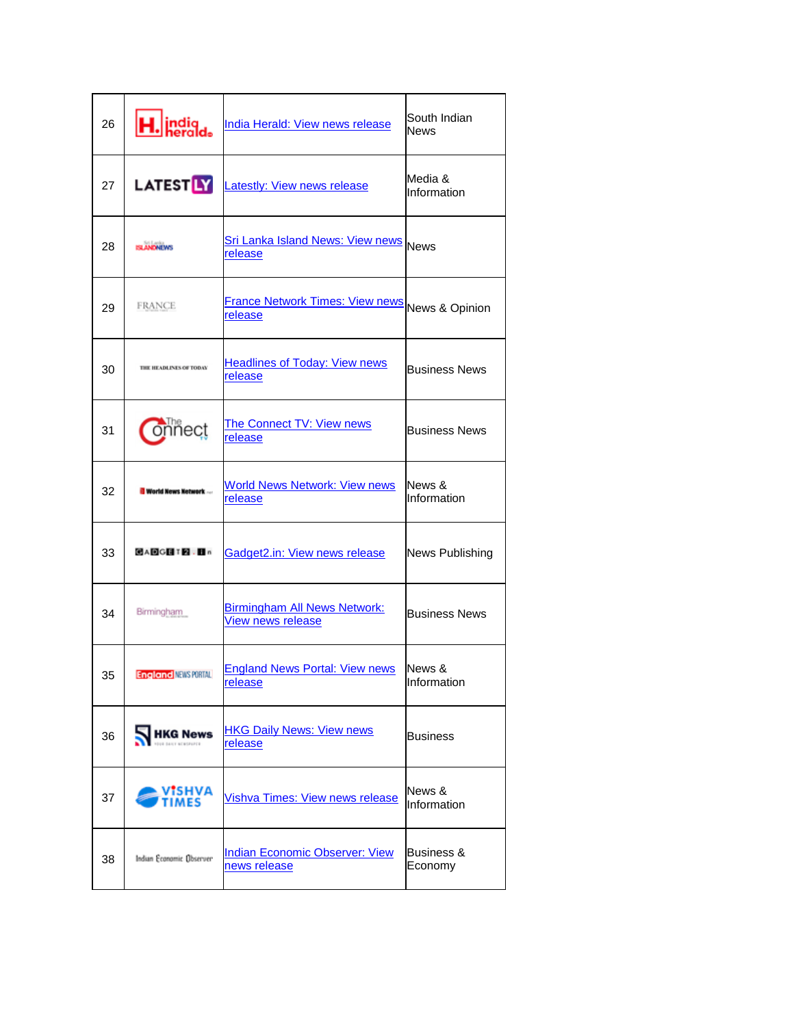| 26 | H. indig                     | India Herald: View news release                                              | South Indian<br>News   |
|----|------------------------------|------------------------------------------------------------------------------|------------------------|
| 27 | <b>LATEST<mark>LY</mark></b> | <b>Latestly: View news release</b>                                           | Media &<br>Information |
| 28 | <b>LANDNEWS</b>              | Sri Lanka Island News: View news News<br><u>release</u>                      |                        |
| 29 | FRANCE                       | France Network Times: View news News & Opinion<br>release                    |                        |
| 30 | THE HEADLENES OF TODAY       | <b>Headlines of Today: View news</b><br>release                              | <b>Business News</b>   |
| 31 | iñect                        | The Connect TV: View news<br>release                                         | <b>Business News</b>   |
| 32 | <b>World News Network</b>    | <b>World News Network: View news</b><br>release                              | News &<br>Information  |
| 33 | <b>GADGET 2.B</b>            | Gadget2.in: View news release                                                | News Publishing        |
| 34 | Birmingham                   | <b>Birmingham All News Network:</b><br>View news release                     | <b>Business News</b>   |
| 35 |                              | <b>England NEWS PORTALL England News Portal: View news</b><br><u>release</u> | News &<br>Information  |
| 36 | <b>HKG News</b>              | <b>HKG Daily News: View news</b><br>release                                  | <b>Business</b>        |
| 37 | VISHVA<br><b>IMFS</b>        | <b>Vishva Times: View news release</b>                                       | News &<br>Information  |
| 38 | Indian Economic Übserver     | Indian Economic Observer: View<br>news release                               | Business &<br>Economy  |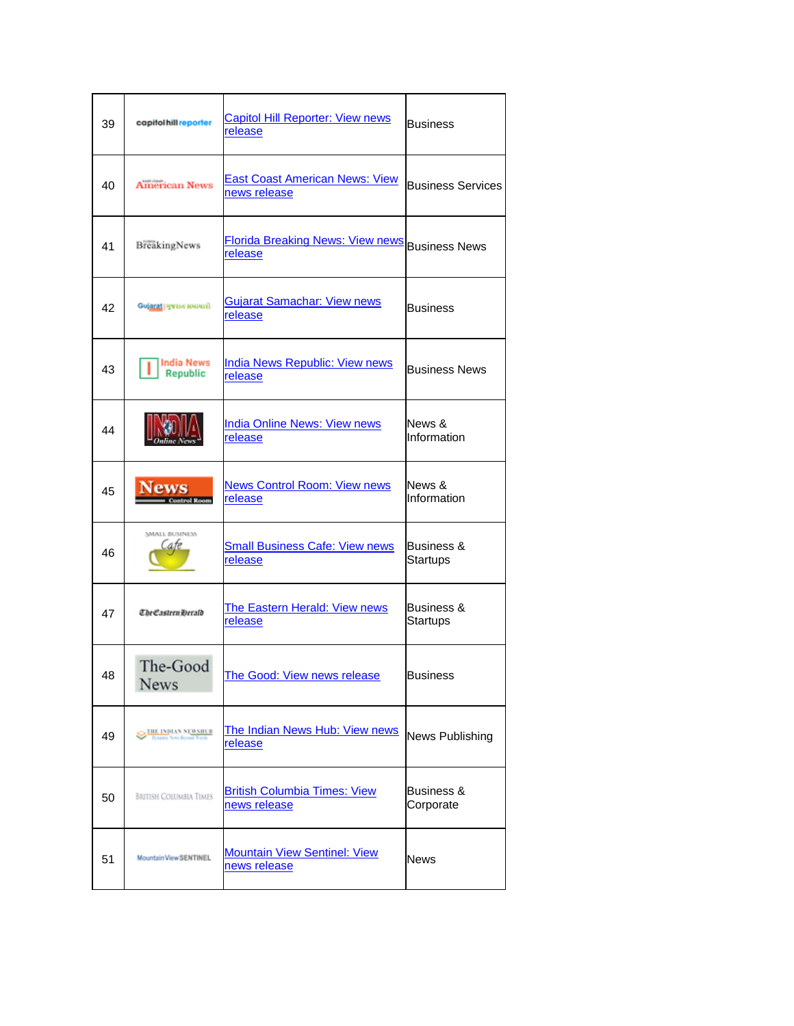| 39 | capitol hill reporter         | <b>Capitol Hill Reporter: View news</b><br>release    | <b>Business</b>                   |
|----|-------------------------------|-------------------------------------------------------|-----------------------------------|
| 40 | <b>American News</b>          | <b>East Coast American News: View</b><br>news release | <b>Business Services</b>          |
| 41 | BreakingNews                  | <b>Florida Breaking News: View news</b><br>release    | <b>Business News</b>              |
| 42 | Gujarat   ગુજરાત સમાચારી      | Gujarat Samachar: View news<br>release                | <b>Business</b>                   |
| 43 | <b>India News</b><br>Republic | <b>India News Republic: View news</b><br>release      | <b>Business News</b>              |
| 44 |                               | <b>India Online News: View news</b><br>release        | News &<br>Information             |
| 45 | Vews<br><b>Control Room</b>   | <b>News Control Room: View news</b><br>release        | News &<br>Information             |
| 46 | SMALL BUSINESS<br>Cate        | <b>Small Business Cafe: View news</b><br>release      | Business &<br>Startups            |
| 47 | The Eastern Derald            | <b>The Eastern Herald: View news</b><br>release       | <b>Business &amp;</b><br>Startups |
| 48 | The-Good<br>News              | The Good: View news release                           | <b>Business</b>                   |
| 49 | THE INDIAN NEWSIER            | The Indian News Hub: View news<br><u>release</u>      | News Publishing                   |
| 50 | <b>BRITISH COLUMBIA TIMES</b> | <b>British Columbia Times: View</b><br>news release   | Business &<br>Corporate           |
| 51 | Mountain View SENTINEL        | <b>Mountain View Sentinel: View</b><br>news release   | News                              |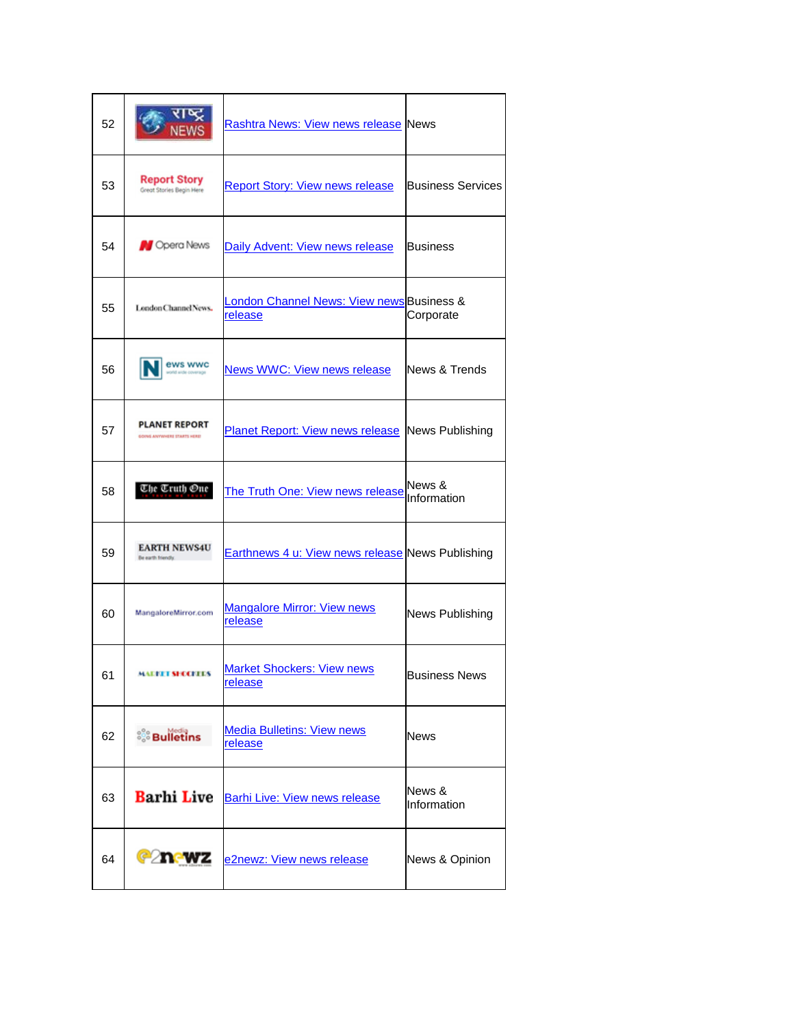| 52 |                                                     | Rashtra News: View news release News                    |                          |
|----|-----------------------------------------------------|---------------------------------------------------------|--------------------------|
| 53 | <b>Report Story</b><br>Great Stories Begin Here     | <b>Report Story: View news release</b>                  | <b>Business Services</b> |
| 54 | <b>N</b> Opera News                                 | Daily Advent: View news release                         | <b>Business</b>          |
| 55 | London Channel News,                                | London Channel News: View news Business &<br>release    | Corporate                |
| 56 | ews wwc                                             | <b>News WWC: View news release</b>                      | News & Trends            |
| 57 | <b>PLANET REPORT</b><br>GOING ANYWHERE STARTS HERE! | <b>Planet Report: View news release News Publishing</b> |                          |
| 58 | Che Cruth One                                       | The Truth One: View news release                        | News &<br>Information    |
| 59 | <b>EARTH NEWS4U</b><br>Be earth friendy.            | Earthnews 4 u: View news release News Publishing        |                          |
| 60 | MangaloreMirror.com                                 | <b>Mangalore Mirror: View news</b><br>release           | News Publishing          |
| 61 | <b>MALITET SECCELLS</b>                             | <b>Market Shockers: View news</b><br>release            | <b>Business News</b>     |
| 62 | ိွိ Bulletins                                       | <b>Media Bulletins: View news</b><br>release            | <b>News</b>              |
| 63 | <b>Barhi Live</b>                                   | <b>Barhi Live: View news release</b>                    | News &<br>Information    |
| 64 | <b>Canewz</b>                                       | e2newz: View news release                               | News & Opinion           |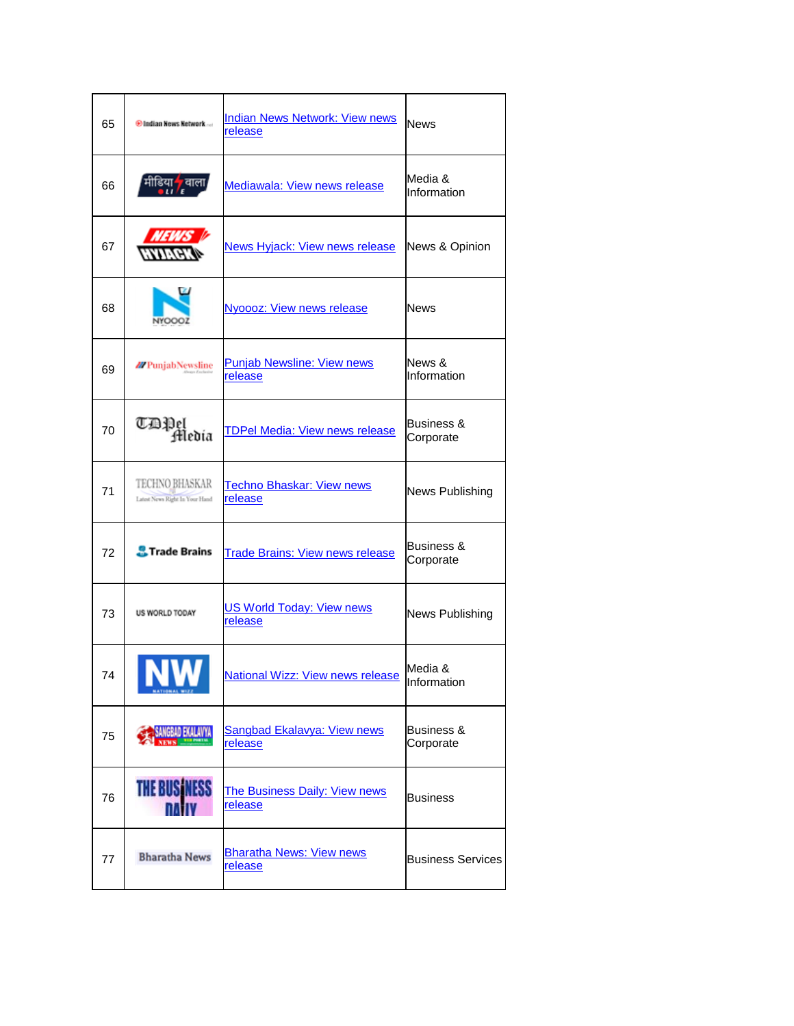| 65 | <b><i>O</i></b> Indian News Network              | <b>Indian News Network: View news</b><br>release   | <b>News</b>                        |
|----|--------------------------------------------------|----------------------------------------------------|------------------------------------|
| 66 |                                                  | Mediawala: View news release                       | Media &<br>Information             |
| 67 |                                                  | <b>News Hyjack: View news release</b>              | News & Opinion                     |
| 68 | NYOOOZ                                           | <b>Nyoooz: View news release</b>                   | <b>News</b>                        |
| 69 | <b>M</b> PunjabNewsline                          | <b>Punjab Newsline: View news</b><br>release       | News &<br>Information              |
| 70 | CDPel<br>Fledia                                  | <b>TDPel Media: View news release</b>              | <b>Business &amp;</b><br>Corporate |
| 71 | TECHNO BHASKAR<br>Latest News Right In Your Hand | <b>Techno Bhaskar: View news</b><br>release        | News Publishing                    |
| 72 | <b>A</b> Trade Brains                            | <b>Trade Brains: View news release</b>             | <b>Business &amp;</b><br>Corporate |
| 73 | US WORLD TODAY                                   | <b>US World Today: View news</b><br><u>release</u> | News Publishing                    |
| 74 |                                                  | <b>National Wizz: View news release</b>            | Media &<br>Information             |
| 75 | <b>IGRED EXAMPLE</b>                             | Sangbad Ekalavya: View news<br>release             | Business &<br>Corporate            |
| 76 | THE BUSINESS                                     | <b>The Business Daily: View news</b><br>release    | <b>Business</b>                    |
| 77 | <b>Bharatha News</b>                             | <b>Bharatha News: View news</b><br><u>release</u>  | <b>Business Services</b>           |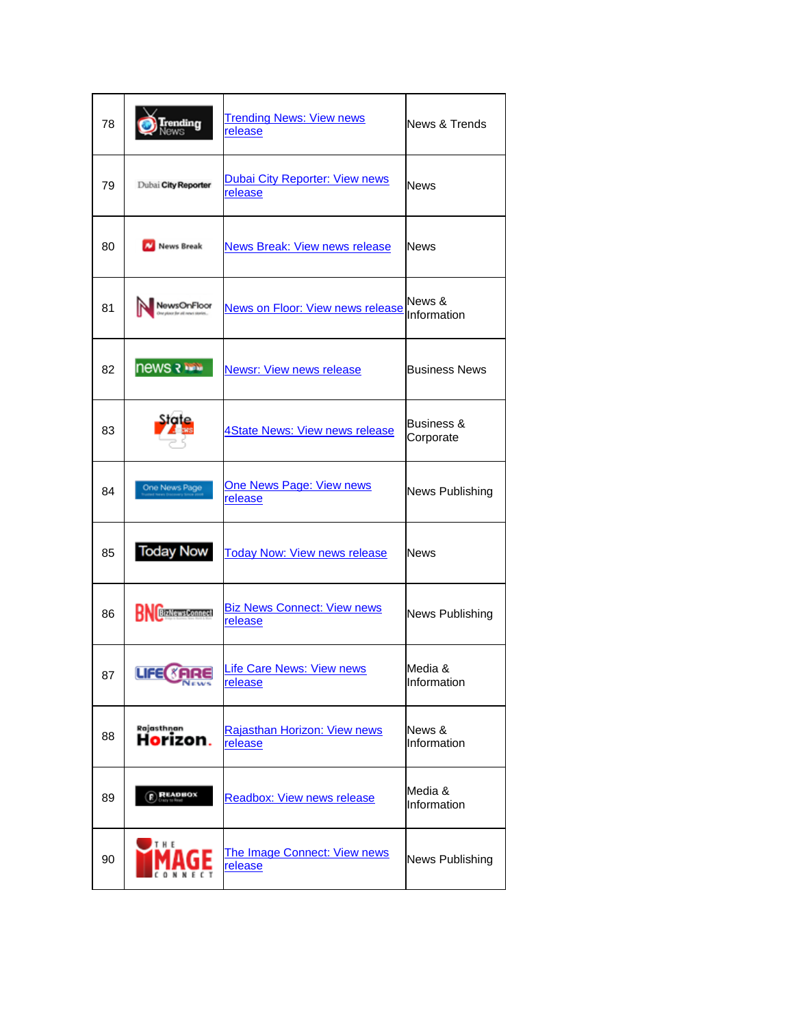| 78 | .<br>Iews               | <b>Trending News: View news</b><br>release       | News & Trends           |
|----|-------------------------|--------------------------------------------------|-------------------------|
| 79 | Dubai City Reporter     | <b>Dubai City Reporter: View news</b><br>release | News                    |
| 80 | News Break              | <b>News Break: View news release</b>             | News                    |
| 81 | NewsOnFloor             | <b>News on Floor: View news release</b>          | News &<br>Information   |
| 82 | <b>news a line</b>      | <b>Newsr: View news release</b>                  | <b>Business News</b>    |
| 83 |                         | 4State News: View news release                   | Business &<br>Corporate |
| 84 | One News Page           | <b>One News Page: View news</b><br>release       | News Publishing         |
| 85 | <b>Today Now</b>        | <b>Today Now: View news release</b>              | News                    |
| 86 | <b>BizNewsConnect</b>   | <b>Biz News Connect: View news</b><br>release    | News Publishing         |
| 87 | LIFE <b><i>SARE</i></b> | Life Care News: View news<br>release             | Media &<br>Information  |
| 88 | Rajasthnan<br>Horizon.  | Rajasthan Horizon: View news<br>release          | News &<br>Information   |
| 89 | <b>READBOX</b>          | <b>Readbox: View news release</b>                | Media &<br>Information  |
| 90 | THE                     | The Image Connect: View news<br>release          | News Publishing         |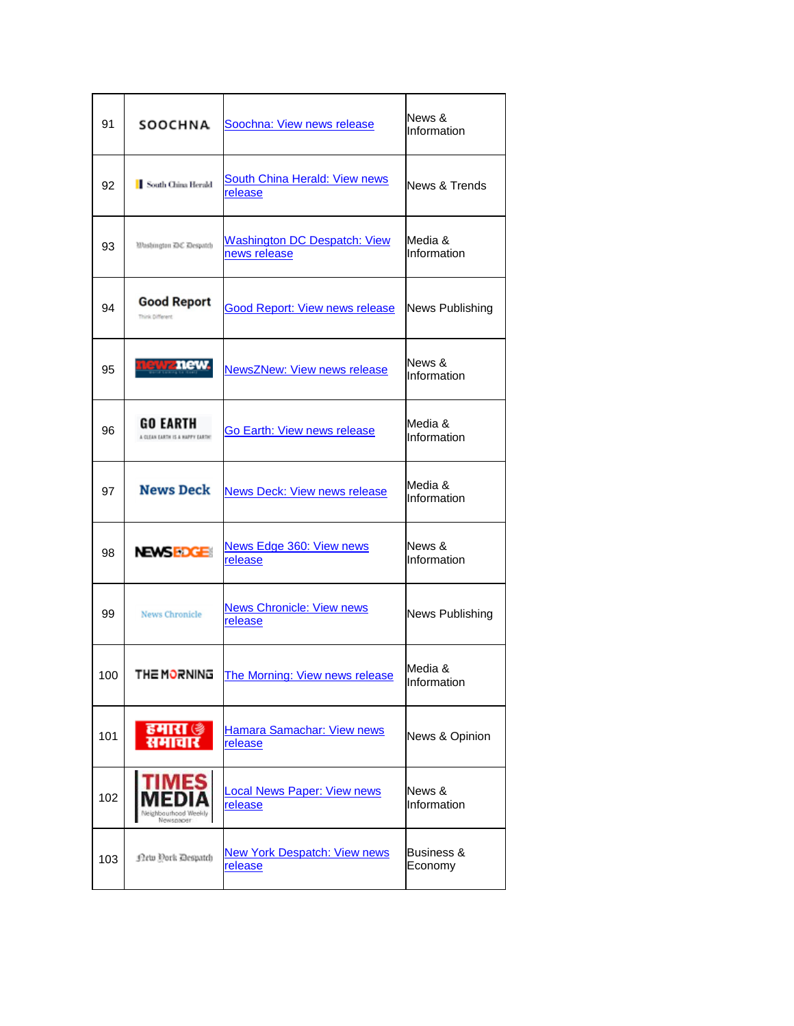| 91  | SOOCHNA                                            | Soochna: View news release                          | News &<br>Information            |
|-----|----------------------------------------------------|-----------------------------------------------------|----------------------------------|
| 92  | South China Herald                                 | South China Herald: View news<br><u>release</u>     | News & Trends                    |
| 93  | Wasbington DC Despatch                             | <b>Washington DC Despatch: View</b><br>news release | Media &<br>Information           |
| 94  | <b>Good Report</b><br>Think Different              | <b>Good Report: View news release</b>               | News Publishing                  |
| 95  | atranew                                            | <b>NewsZNew: View news release</b>                  | News &<br>Information            |
| 96  | <b>GO EARTH</b><br>A CUTAN EARTH IS A NAPPY EARTH! | Go Earth: View news release                         | Media &<br>Information           |
| 97  | <b>News Deck</b>                                   | <b>News Deck: View news release</b>                 | Media &<br>Information           |
| 98  | <b>NEWSEDGE</b>                                    | News Edge 360: View news<br>release                 | News &<br>Information            |
| 99  | <b>News Chronicle</b>                              | <b>News Chronicle: View news</b><br><u>release</u>  | News Publishing                  |
| 100 | THE MORNING                                        | The Morning: View news release                      | Media &<br>Information           |
| 101 | हमारा (§<br>समाचार                                 | Hamara Samachar: View news<br>release               | News & Opinion                   |
| 102 | MES<br>Vewsnappa                                   | <b>Local News Paper: View news</b><br>release       | News &<br>Information            |
| 103 | <b>Detu Dork Despatch</b>                          | <b>New York Despatch: View news</b><br>release      | <b>Business &amp;</b><br>Economy |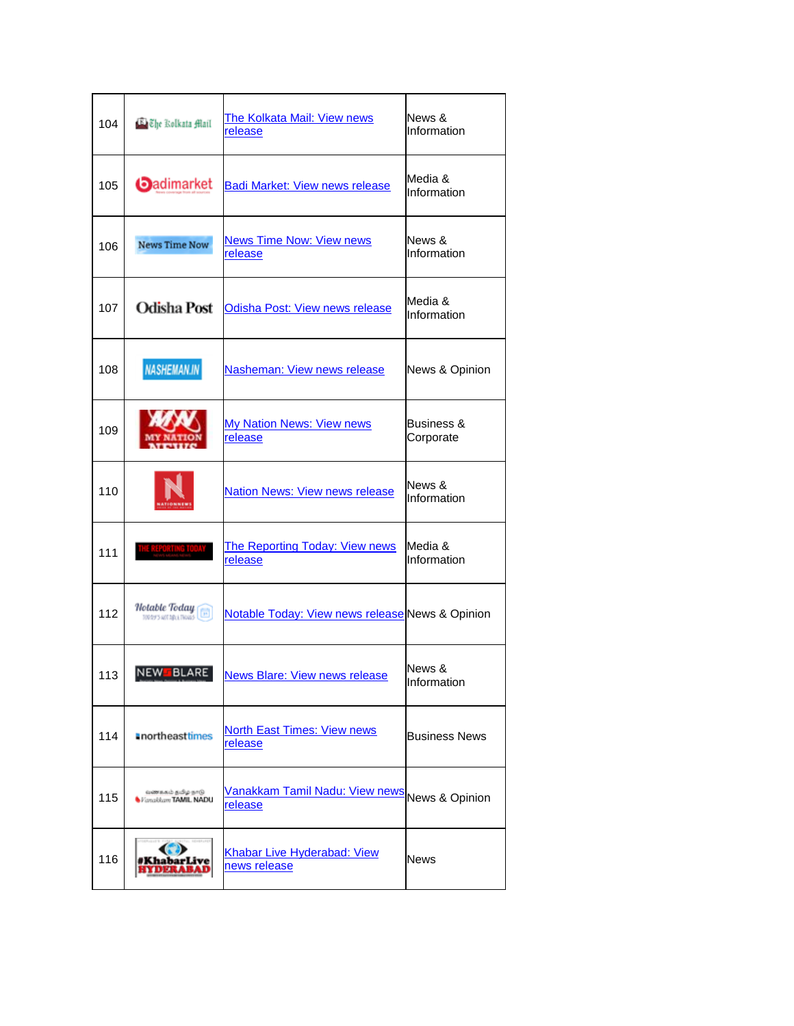| 104 | E Che Rolkata Mail                                      | The Kolkata Mail: View news<br>release                   | News &<br>Information              |
|-----|---------------------------------------------------------|----------------------------------------------------------|------------------------------------|
| 105 | <b>O</b> adimarket                                      | <b>Badi Market: View news release</b>                    | Media &<br>Information             |
| 106 | <b>News Time Now</b>                                    | <b>News Time Now: View news</b><br>release               | News &<br>Information              |
| 107 | <b>Odisha Post</b>                                      | Odisha Post: View news release                           | Media &<br>Information             |
| 108 | <b>NASHEMAN.IN</b>                                      | Nasheman: View news release                              | News & Opinion                     |
| 109 |                                                         | <b>My Nation News: View news</b><br>release              | <b>Business &amp;</b><br>Corporate |
| 110 |                                                         | <b>Nation News: View news release</b>                    | News &<br>Information              |
| 111 |                                                         | The Reporting Today: View news<br>release                | Media &<br>Information             |
| 112 | Hotable Today<br>$\boxed{1}$<br>TOD BY'S AUTORCE THOUGH | Notable Today: View news release News & Opinion          |                                    |
| 113 | NEW FBLARE                                              | <b>News Blare: View news release</b>                     | News &<br>Information              |
| 114 | <b>anortheasttimes</b>                                  | <b>North East Times: View news</b><br>release            | <b>Business News</b>               |
| 115 | வகைகம் தமிழ் நாடு<br>Fanakkant TAMIL NADU               | Vanakkam Tamil Nadu: View news News & Opinion<br>release |                                    |
| 116 |                                                         | Khabar Live Hyderabad: View<br>news release              | News                               |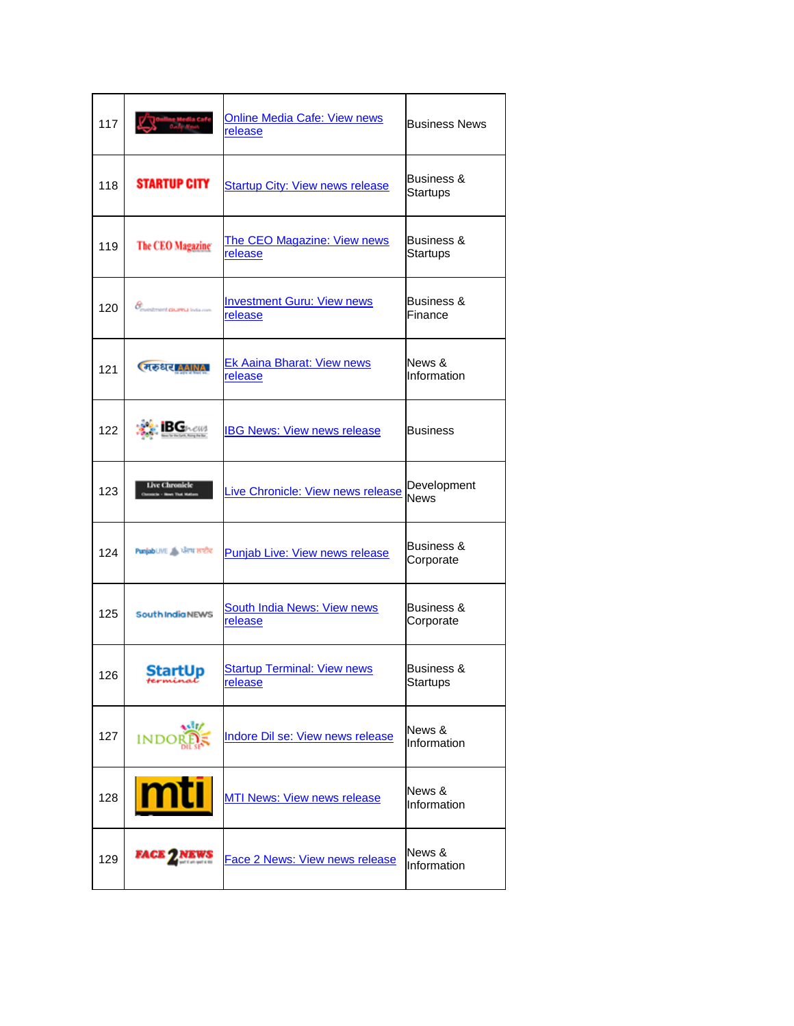| 117 |                                                     | <u> Online Media Cafe: View news</u><br><b>release</b> | <b>Business News</b>                     |
|-----|-----------------------------------------------------|--------------------------------------------------------|------------------------------------------|
| 118 | <b>STARTUP CITY</b>                                 | <b>Startup City: View news release</b>                 | <b>Business &amp;</b><br><b>Startups</b> |
| 119 | <b>The CEO Magazine</b>                             | The CEO Magazine: View news<br>release                 | Business &<br><b>Startups</b>            |
| 120 | <b>&amp;</b><br>Coventment <b>CIUPPLI</b> India com | <b>Investment Guru: View news</b><br>release           | Business &<br>Finance                    |
| 121 | <b>CHESSIC AAINAL</b>                               | <b>Ek Aaina Bharat: View news</b><br>release           | News &<br>Information                    |
| 122 | $B$ <b>C</b> them                                   | <b>IBG News: View news release</b>                     | <b>Business</b>                          |
| 123 | <b>Live Chronicle</b>                               | Live Chronicle: View news release                      | Development<br><b>News</b>               |
| 124 | PunjabLIVE A ਪੰਜਾਬ ਲਾਈਵ                             | <b>Punjab Live: View news release</b>                  | Business &<br>Corporate                  |
| 125 | South India NEWS                                    | <b>South India News: View news</b><br>release          | Business &<br>Corporate                  |
| 126 | StartUp<br>ferminal                                 | <b>Startup Terminal: View news</b><br><u>release</u>   | <b>Business &amp;</b><br>Startups        |
| 127 | <b>INDO</b>                                         | Indore Dil se: View news release                       | News &<br>Information                    |
| 128 | mti                                                 | <b>MTI News: View news release</b>                     | News &<br>Information                    |
| 129 | FACE 7                                              | <b>Face 2 News: View news release</b>                  | News &<br>Information                    |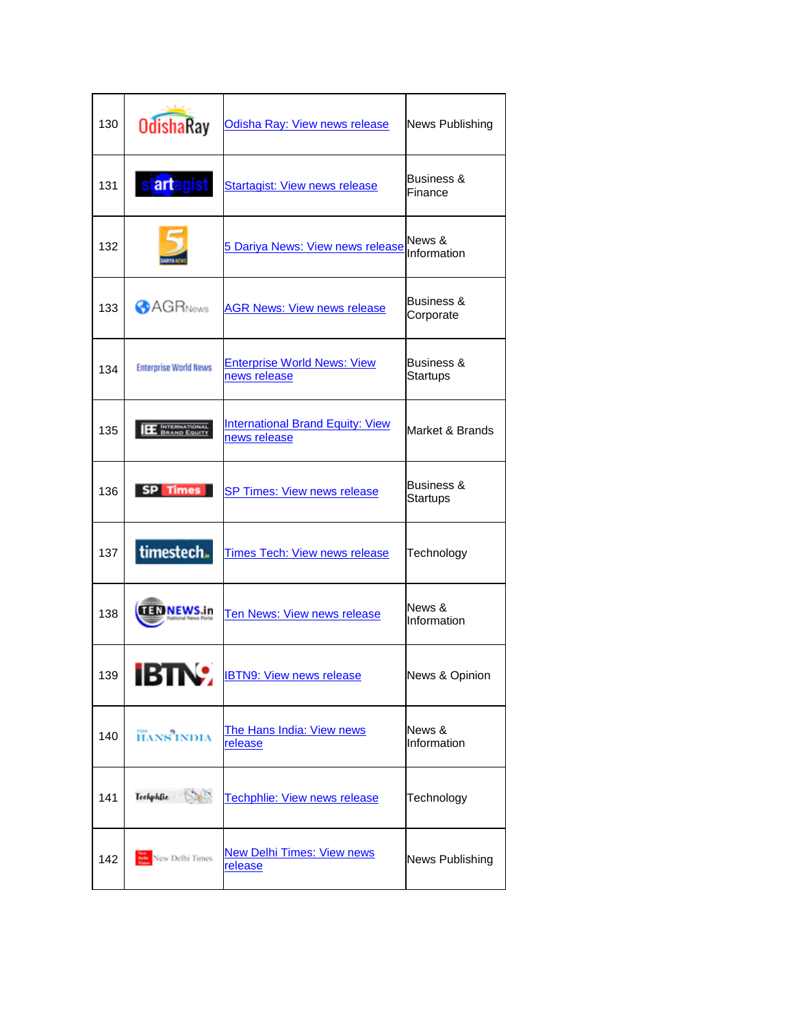| 130 | <b>OdishaRay</b>                     | Odisha Ray: View news release                           | <b>News Publishing</b>            |
|-----|--------------------------------------|---------------------------------------------------------|-----------------------------------|
| 131 | st <mark>art</mark> agist            | <b>Startagist: View news release</b>                    | Business &<br>Finance             |
| 132 |                                      | 5 Dariya News: View news release                        | News &<br>Information             |
| 133 | <b>AGRNews</b>                       | <b>AGR News: View news release</b>                      | Business &<br>Corporate           |
| 134 | <b>Enterprise World News</b>         | <b>Enterprise World News: View</b><br>news release      | <b>Business &amp;</b><br>Startups |
| 135 | <b>INTERNATIONAL</b><br>BRAND EQUITY | <b>International Brand Equity: View</b><br>news release | Market & Brands                   |
| 136 | SP Times                             | <b>SP Times: View news release</b>                      | Business &<br>Startups            |
| 137 | timestech.                           | <b>Times Tech: View news release</b>                    | Technology                        |
| 138 | EDNEWS.in                            | <b>Ten News: View news release</b>                      | News &<br>Information             |
| 139 | IDIIW                                | <b>IBTN9: View news release</b>                         | News & Opinion                    |
| 140 | <b>HANS</b> INDIA                    | The Hans India: View news<br>release                    | News &<br>Information             |
| 141 | Techphilie St                        | Techphlie: View news release                            | Technology                        |
| 142 | New Delhi Times                      | <b>New Delhi Times: View news</b><br>release            | News Publishing                   |